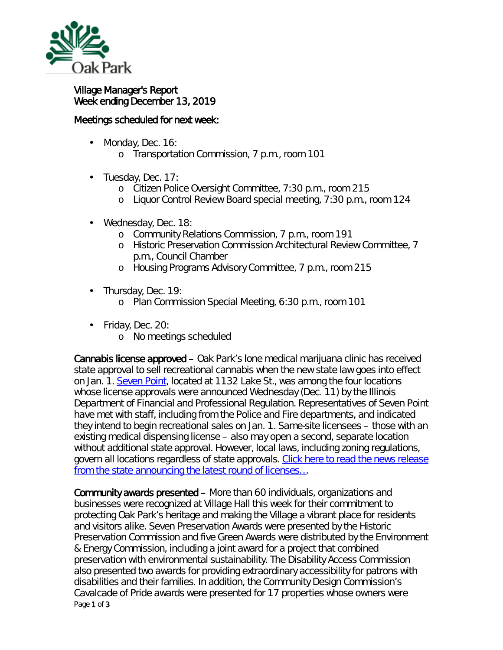

## Village Manager's Report Week ending December 13, 2019

## Meetings scheduled for next week:

- Monday, Dec. 16: ä,
	- o Transportation Commission, 7 p.m., room 101
- ä, Tuesday, Dec. 17:
	- o Citizen Police Oversight Committee, 7:30 p.m., room 215
	- o Liquor Control Review Board special meeting, 7:30 p.m., room 124
- Wednesday, Dec. 18:
	- o Community Relations Commission, 7 p.m., room 191
	- o Historic Preservation Commission Architectural Review Committee, 7 p.m., Council Chamber
	- o Housing Programs Advisory Committee, 7 p.m., room 215
- . Thursday, Dec. 19:
	- o Plan Commission Special Meeting, 6:30 p.m., room 101
	- Friday, Dec. 20:

 $\mathbf{r}^{\prime}$ 

o No meetings scheduled

Cannabis license approved – Oak Park's lone medical marijuana clinic has received state approval to sell recreational cannabis when the new state law goes into effect on Jan. 1. [Seven Point,](http://www.sevenpointoakpark.com/index.html) located at 1132 Lake St., was among the four locations whose license approvals were announced Wednesday (Dec. 11) by the Illinois Department of Financial and Professional Regulation. Representatives of Seven Point have met with staff, including from the Police and Fire departments, and indicated they intend to begin recreational sales on Jan. 1. *Same-site* licensees – those with an existing medical dispensing license – also may open a second, separate location without additional state approval. However, local laws, including zoning regulations, govern all locations regardless of state approvals. Click here to read the news release from the state announcing the latest round of licenses...

Page 1 of 3 Community awards presented – More than 60 individuals, organizations and businesses were recognized at Village Hall this week for their commitment to protecting Oak Park's heritage and making the Village a vibrant place for residents and visitors alike. Seven Preservation Awards were presented by the Historic Preservation Commission and five Green Awards were distributed by the Environment & Energy Commission, including a joint award for a project that combined preservation with environmental sustainability. The Disability Access Commission also presented two awards for providing extraordinary accessibility for patrons with disabilities and their families. In addition, the Community Design Commission's Cavalcade of Pride awards were presented for 17 properties whose owners were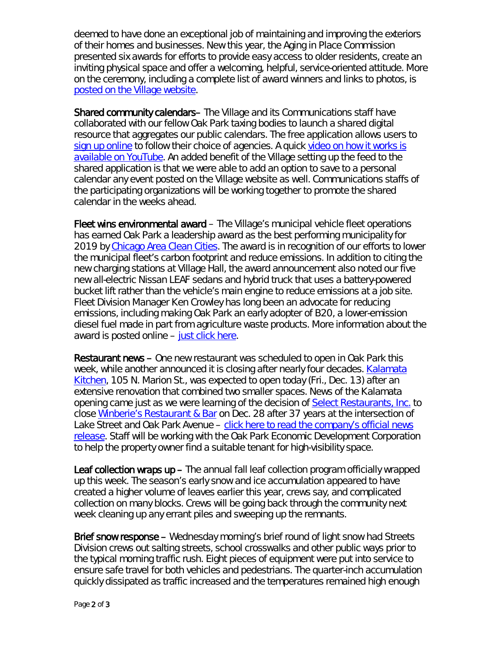deemed to have done an exceptional job of maintaining and improving the exteriors of their homes and businesses. New this year, the Aging in Place Commission presented six awards for efforts to provide easy access to older residents, create an inviting physical space and offer a welcoming, helpful, service-oriented attitude. More on the ceremony, including a complete list of award winners and links to photos, is [posted on the Village website.](https://www.oak-park.us/news/2019-community-awards-celebrate-stewardship)

Shared community calendars– The Village and its Communications staff have collaborated with our fellow Oak Park taxing bodies to launch a shared digital resource that aggregates our public calendars. The free application allows users to [sign up online](https://www.burbio.com/states/Illinois/oak-park) to follow their choice of agencies. A quick video on how it works is [available on YouTube.](https://youtu.be/2hQq_-dEIgo) An added benefit of the Village setting up the feed to the shared application is that we were able to add an option to save to a personal calendar any event posted on the Village website as well. Communications staffs of the participating organizations will be working together to promote the shared calendar in the weeks ahead.

Fleet wins environmental award – The Village's municipal vehicle fleet operations has earned Oak Park a leadership award as the best performing municipality for 2019 by [Chicago Area Clean Cities.](https://chicagocleancities.org/) The award is in recognition of our efforts to lower the municipal fleet's carbon footprint and reduce emissions. In addition to citing the new charging stations at Village Hall, the award announcement also noted our five new all-electric Nissan LEAF sedans and hybrid truck that uses a battery-powered bucket lift rather than the vehicle's main engine to reduce emissions at a job site. Fleet Division Manager Ken Crowley has long been an advocate for reducing emissions, including making Oak Park an early adopter of B20, a lower-emission diesel fuel made in part from agriculture waste products. More information about the award is posted online – [just click here.](https://chicagocleancities.org/chicago-area-clean-cities-names-green-leadership-award-winners/)

Restaurant news – One new restaurant was scheduled to open in Oak Park this week, while another announced it is closing after nearly four decades. **Kalamata** [Kitchen,](https://kalamata-kitchen.business.site/) 105 N. Marion St., was expected to open today (Fri., Dec. 13) after an extensive renovation that combined two smaller spaces. News of the Kalamata opening came just as we were learning of the decision of [Select Restaurants,](http://selectrestaurants.com/) Inc. to close [Winberie's Restaurant](http://selectrestaurants.com/the-restaurants/winberies-oak-park/) & Bar on Dec. 28 after 37 years at the intersection of Lake Street and Oak Park Avenue – click here to read [the company's official news](https://www.oak-park.us/sites/default/files/456678891/2019-12-winberies-oakpark-closing-news-release.pdf)  [release.](https://www.oak-park.us/sites/default/files/456678891/2019-12-winberies-oakpark-closing-news-release.pdf) Staff will be working with the Oak Park Economic Development Corporation to help the property owner find a suitable tenant for high-visibility space.

Leaf collection wraps up – The annual fall leaf collection program officially wrapped up this week. The season's early snow and ice accumulation appeared to have created a higher volume of leaves earlier this year, crews say, and complicated collection on many blocks. Crews will be going back through the community next week cleaning up any errant piles and sweeping up the remnants.

Brief snow response – Wednesday morning's brief round of light snow had Streets Division crews out salting streets, school crosswalks and other public ways prior to the typical morning traffic rush. Eight pieces of equipment were put into service to ensure safe travel for both vehicles and pedestrians. The quarter-inch accumulation quickly dissipated as traffic increased and the temperatures remained high enough